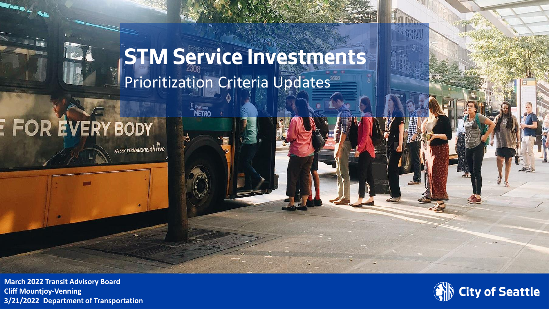### **STM Service Investments** Prioritization Criteria Updates

**METRO** 

### **FOR EVERY BODY**

KAISER PERMANENTE. thrue

**3/21/2022 <b>Department of Transportation 11 3/21/2022 Department of Transportation March 2022 Transit Advisory Board**

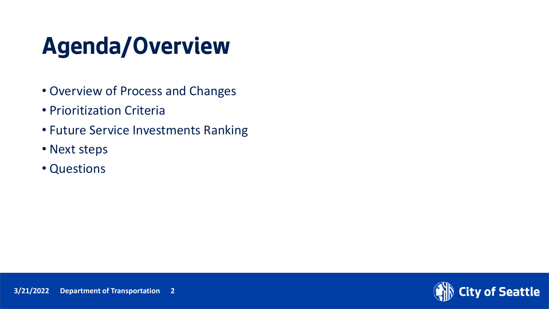## **Agenda/Overview**

- Overview of Process and Changes
- Prioritization Criteria
- Future Service Investments Ranking
- Next steps
- Questions

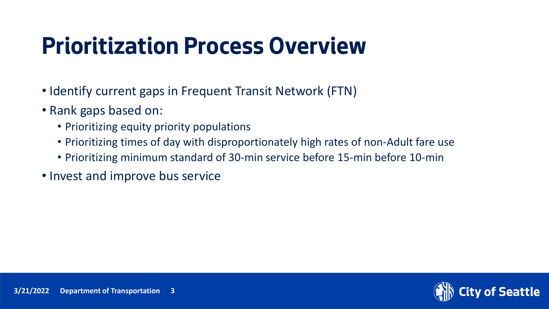## **Prioritization Process Overview**

- Identify current gaps in Frequent Transit Network (FTN)
- Rank gaps based on:
	- Prioritizing equity priority populations
	- Prioritizing times of day with disproportionately high rates of non-Adult fare use
	- Prioritizing minimum standard of 30-min service before 15-min before 10-min
- Invest and improve bus service

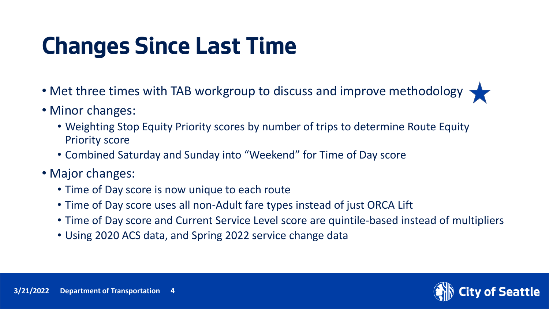## **Changes Since Last Time**

- Met three times with TAB workgroup to discuss and improve methodology
- Minor changes:
	- Weighting Stop Equity Priority scores by number of trips to determine Route Equity Priority score
	- Combined Saturday and Sunday into "Weekend" for Time of Day score
- Major changes:
	- Time of Day score is now unique to each route
	- Time of Day score uses all non-Adult fare types instead of just ORCA Lift
	- Time of Day score and Current Service Level score are quintile-based instead of multipliers
	- Using 2020 ACS data, and Spring 2022 service change data

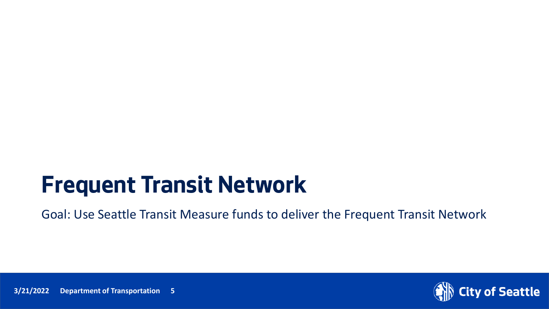### **Frequent Transit Network**

Goal: Use Seattle Transit Measure funds to deliver the Frequent Transit Network



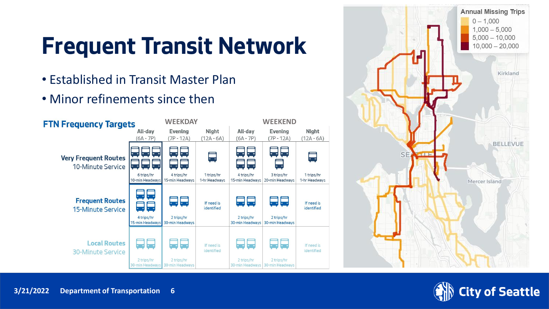## **Frequent Transit Network**

- Established in Transit Master Plan
- Minor refinements since then





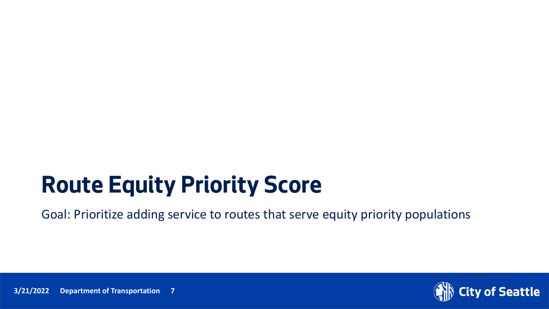## **Route Equity Priority Score**

Goal: Prioritize adding service to routes that serve equity priority populations

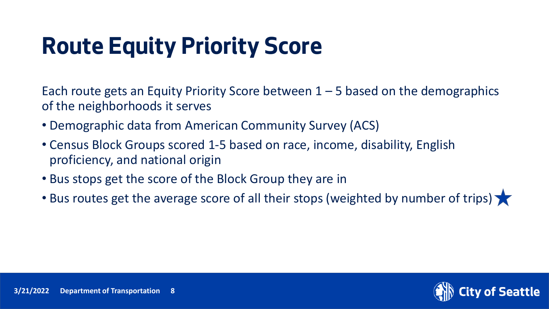## **Route Equity Priority Score**

Each route gets an Equity Priority Score between  $1 - 5$  based on the demographics of the neighborhoods it serves

- Demographic data from American Community Survey (ACS)
- Census Block Groups scored 1-5 based on race, income, disability, English proficiency, and national origin
- Bus stops get the score of the Block Group they are in
- Bus routes get the average score of all their stops (weighted by number of trips)

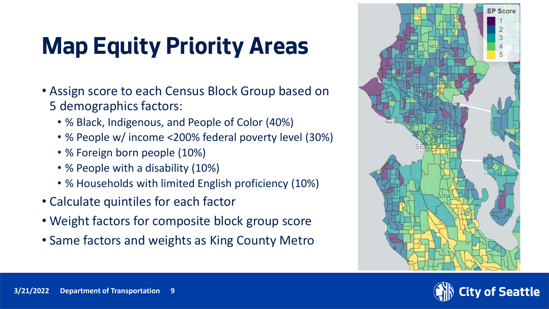# **Map Equity Priority Areas**

- Assign score to each Census Block Group based on 5 demographics factors:
	- % Black, Indigenous, and People of Color (40%)
	- % People w/ income <200% federal poverty level (30%)
	- % Foreign born people (10%)
	- % People with a disability (10%)
	- % Households with limited English proficiency (10%)
- Calculate quintiles for each factor
- Weight factors for composite block group score
- Same factors and weights as King County Metro



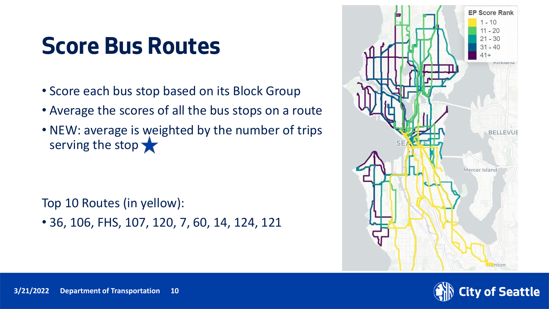### **Score Bus Routes**

- Score each bus stop based on its Block Group
- Average the scores of all the bus stops on a route
- NEW: average is weighted by the number of trips serving the stop

Top 10 Routes (in yellow):

• 36, 106, FHS, 107, 120, 7, 60, 14, 124, 121



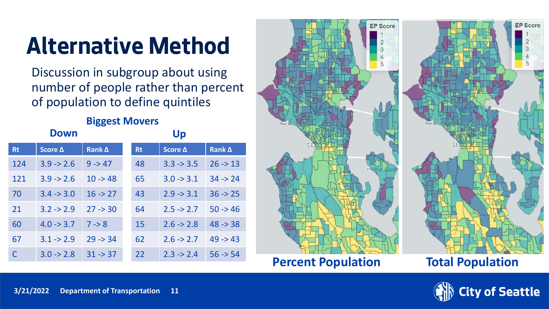## **Alternative Method**

Discussion in subgroup about using number of people rather than percent of population to define quintiles

#### **Biggest Movers**

|           | <b>Down</b>           |           | Up        |                       |                     |  |  |  |
|-----------|-----------------------|-----------|-----------|-----------------------|---------------------|--|--|--|
| <b>Rt</b> | Score Δ               | Rank A    | <b>Rt</b> | Score Δ               | Rank $\Delta$       |  |  |  |
| 124       | $3.9 \div 2.6$        | $9 - 47$  | 48        | $3.3 \rightarrow 3.5$ | $26 \rightarrow 13$ |  |  |  |
| 121       | $3.9 \div 2.6$        | $10 - 48$ | 65        | $3.0 \rightarrow 3.1$ | $34 \div 24$        |  |  |  |
| 70        | $3.4 \rightarrow 3.0$ | $16 - 27$ | 43        | $2.9 \rightarrow 3.1$ | $36 \div 25$        |  |  |  |
| 21        | $3.2 \div 2.9$        | $27 - 30$ | 64        | $2.5 \rightarrow 2.7$ | $50 - 46$           |  |  |  |
| 60        | $4.0 \rightarrow 3.7$ | $7 - 8$   | 15        | $2.6 \rightarrow 2.8$ | $48 - 38$           |  |  |  |
| 67        | $3.1 \div 2.9$        | $29 - 34$ | 62        | $2.6 \rightarrow 2.7$ | $49 - 43$           |  |  |  |
| C         | $3.0 \rightarrow 2.8$ | $31 - 37$ | 22        | $2.3 \rightarrow 2.4$ | $56 - 54$           |  |  |  |



**Percent Population Total Population**

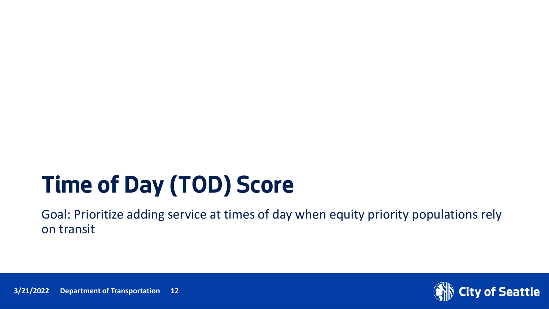## **Time of Day (TOD) Score**

Goal: Prioritize adding service at times of day when equity priority populations rely on transit



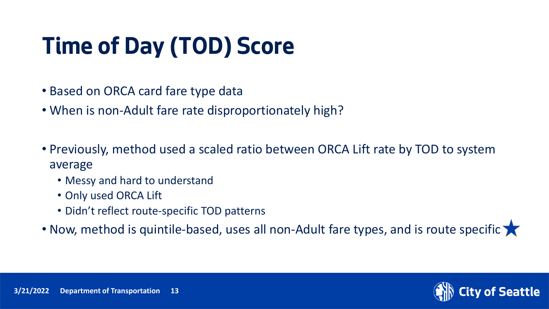# **Time of Day (TOD) Score**

- Based on ORCA card fare type data
- When is non-Adult fare rate disproportionately high?
- Previously, method used a scaled ratio between ORCA Lift rate by TOD to system average
	- Messy and hard to understand
	- Only used ORCA Lift
	- Didn't reflect route-specific TOD patterns
- Now, method is quintile-based, uses all non-Adult fare types, and is route specific

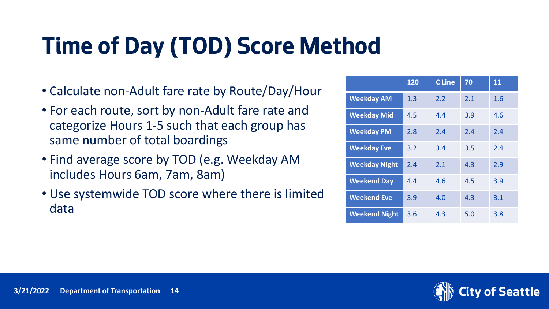# **Time of Day (TOD) Score Method**

- Calculate non-Adult fare rate by Route/Day/Hour
- For each route, sort by non-Adult fare rate and categorize Hours 1-5 such that each group has same number of total boardings
- Find average score by TOD (e.g. Weekday AM includes Hours 6am, 7am, 8am)
- Use systemwide TOD score where there is limited data

|                      | 120 | <b>C</b> Line | 70  | 11  |
|----------------------|-----|---------------|-----|-----|
| <b>Weekday AM</b>    | 1.3 | 2.2           | 2.1 | 1.6 |
| <b>Weekday Mid</b>   | 4.5 | 4.4           | 3.9 | 4.6 |
| <b>Weekday PM</b>    | 2.8 | 2.4           | 2.4 | 2.4 |
| <b>Weekday Eve</b>   | 3.2 | 3.4           | 3.5 | 2.4 |
| <b>Weekday Night</b> | 2.4 | 2.1           | 4.3 | 2.9 |
| <b>Weekend Day</b>   | 4.4 | 4.6           | 4.5 | 3.9 |
| <b>Weekend Eve</b>   | 3.9 | 4.0           | 4.3 | 3.1 |
| <b>Weekend Night</b> | 3.6 | 4.3           | 5.0 | 3.8 |

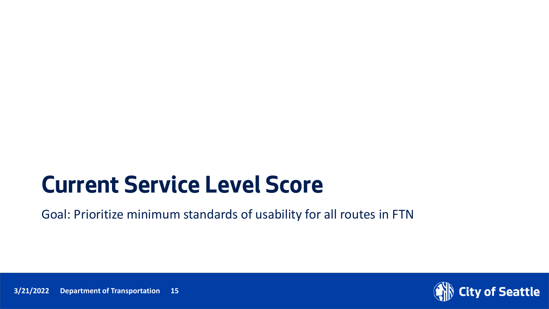### **Current Service Level Score**

Goal: Prioritize minimum standards of usability for all routes in FTN

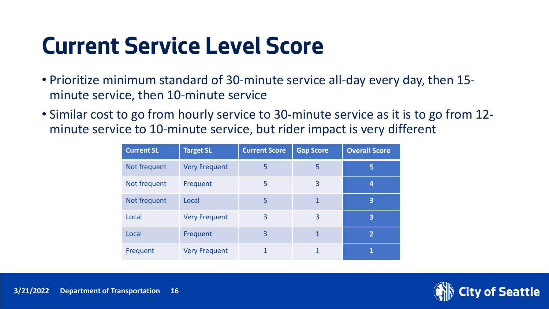## **Current Service Level Score**

- Prioritize minimum standard of 30-minute service all-day every day, then 15 minute service, then 10-minute service
- Similar cost to go from hourly service to 30-minute service as it is to go from 12 minute service to 10-minute service, but rider impact is very different

| <b>Current SL</b> | <b>Target SL</b>     | <b>Current Score</b> | <b>Gap Score</b> | <b>Overall Score</b> |
|-------------------|----------------------|----------------------|------------------|----------------------|
| Not frequent      | <b>Very Frequent</b> | 5                    | 5                | 5                    |
| Not frequent      | Frequent             | 5                    | 3                | 4                    |
| Not frequent      | Local                | 5                    | $\mathbf{1}$     | 3                    |
| Local             | <b>Very Frequent</b> | 3                    | 3                | 3                    |
| Local             | Frequent             | 3                    | $\mathbf{1}$     | $\overline{2}$       |
| Frequent          | <b>Very Frequent</b> |                      |                  |                      |

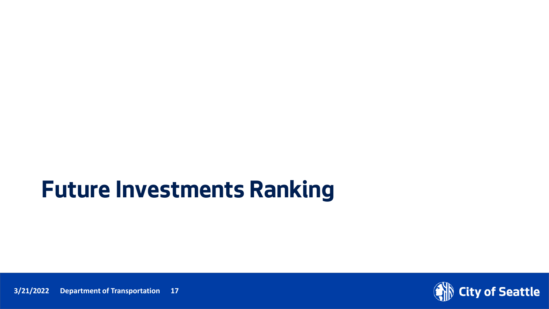### **Future Investments Ranking**



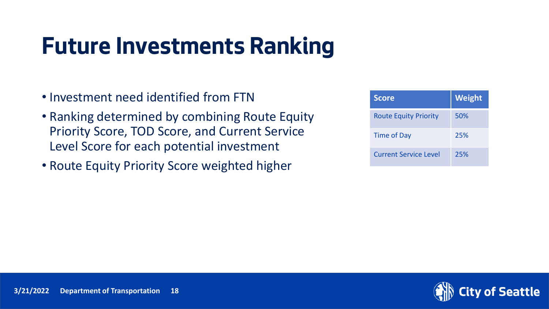### **Future Investments Ranking**

- Investment need identified from FTN
- Ranking determined by combining Route Equity Priority Score, TOD Score, and Current Service Level Score for each potential investment
- Route Equity Priority Score weighted higher

| <b>Score</b>                 | Weight |
|------------------------------|--------|
| <b>Route Equity Priority</b> | 50%    |
| <b>Time of Day</b>           | 25%    |
| <b>Current Service Level</b> | 25%    |

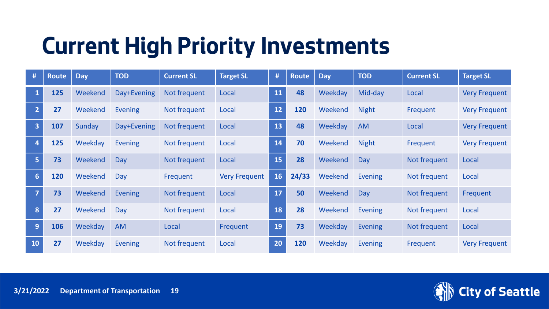## **Current High Priority Investments**

| #                       | <b>Route</b> | <b>Day</b> | <b>TOD</b>     | <b>Current SL</b> | <b>Target SL</b>     | #         | Route | <b>Day</b> | <b>TOD</b>     | <b>Current SL</b> | <b>Target SL</b>     |
|-------------------------|--------------|------------|----------------|-------------------|----------------------|-----------|-------|------------|----------------|-------------------|----------------------|
|                         | 125          | Weekend    | Day+Evening    | Not frequent      | Local                | <b>11</b> | 48    | Weekday    | Mid-day        | Local             | <b>Very Frequent</b> |
| $\overline{2}$          | 27           | Weekend    | <b>Evening</b> | Not frequent      | Local                | $12$      | 120   | Weekend    | <b>Night</b>   | Frequent          | <b>Very Frequent</b> |
| $\overline{\mathbf{3}}$ | 107          | Sunday     | Day+Evening    | Not frequent      | Local                | 13        | 48    | Weekday    | <b>AM</b>      | Local             | <b>Very Frequent</b> |
| $\overline{4}$          | 125          | Weekday    | <b>Evening</b> | Not frequent      | Local                | 14        | 70    | Weekend    | <b>Night</b>   | Frequent          | <b>Very Frequent</b> |
| 5                       | 73           | Weekend    | Day            | Not frequent      | Local                | 15        | 28    | Weekend    | Day            | Not frequent      | Local                |
| 6 <sup>1</sup>          | 120          | Weekend    | Day            | Frequent          | <b>Very Frequent</b> | 16        | 24/33 | Weekend    | Evening        | Not frequent      | Local                |
| 7                       | 73           | Weekend    | <b>Evening</b> | Not frequent      | Local                | 17        | 50    | Weekend    | Day            | Not frequent      | Frequent             |
| 8                       | 27           | Weekend    | Day            | Not frequent      | Local                | 18        | 28    | Weekend    | <b>Evening</b> | Not frequent      | Local                |
| 9                       | 106          | Weekday    | <b>AM</b>      | Local             | Frequent             | 19        | 73    | Weekday    | Evening        | Not frequent      | Local                |
| <b>10</b>               | 27           | Weekday    | <b>Evening</b> | Not frequent      | Local                | 20        | 120   | Weekday    | <b>Evening</b> | Frequent          | <b>Very Frequent</b> |

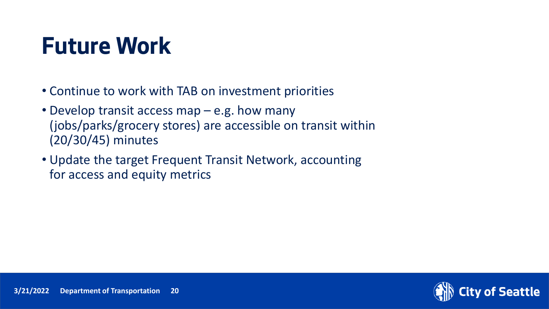### **Future Work**

- Continue to work with TAB on investment priorities
- Develop transit access map e.g. how many (jobs/parks/grocery stores) are accessible on transit within (20/30/45) minutes
- Update the target Frequent Transit Network, accounting for access and equity metrics